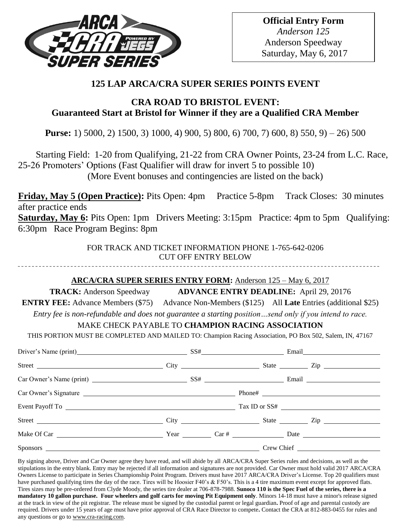

# **125 LAP ARCA/CRA SUPER SERIES POINTS EVENT**

# **CRA ROAD TO BRISTOL EVENT: Guaranteed Start at Bristol for Winner if they are a Qualified CRA Member**

**Purse:** 1) 5000, 2) 1500, 3) 1000, 4) 900, 5) 800, 6) 700, 7) 600, 8) 550, 9) – 26) 500

 Starting Field: 1-20 from Qualifying, 21-22 from CRA Owner Points, 23-24 from L.C. Race, 25-26 Promoters' Options (Fast Qualifier will draw for invert 5 to possible 10) (More Event bonuses and contingencies are listed on the back)

**Friday, May 5 (Open Practice):** Pits Open: 4pm Practice 5-8pm Track Closes: 30 minutes after practice ends

**Saturday, May 6:** Pits Open: 1pm Drivers Meeting: 3:15pm Practice: 4pm to 5pm Qualifying: 6:30pm Race Program Begins: 8pm

> FOR TRACK AND TICKET INFORMATION PHONE 1-765-642-0206 CUT OFF ENTRY BELOW

## **ARCA/CRA SUPER SERIES ENTRY FORM:** Anderson 125 – May 6, 2017

**TRACK:** Anderson Speedway **ADVANCE ENTRY DEADLINE:** April 29, 20176

**ENTRY FEE:** Advance Members (\$75) Advance Non-Members (\$125) All **Late** Entries (additional \$25)

*Entry fee is non-refundable and does not guarantee a starting position…send only if you intend to race.*

## MAKE CHECK PAYABLE TO **CHAMPION RACING ASSOCIATION**

THIS PORTION MUST BE COMPLETED AND MAILED TO: Champion Racing Association, PO Box 502, Salem, IN, 47167

| Driver's Name (print) SS# Email |            |  |  |  |
|---------------------------------|------------|--|--|--|
|                                 |            |  |  |  |
|                                 |            |  |  |  |
|                                 |            |  |  |  |
|                                 |            |  |  |  |
|                                 |            |  |  |  |
|                                 |            |  |  |  |
| Sponsors <u>superiors</u>       | Crew Chief |  |  |  |

By signing above, Driver and Car Owner agree they have read, and will abide by all ARCA/CRA Super Series rules and decisions, as well as the stipulations in the entry blank. Entry may be rejected if all information and signatures are not provided. Car Owner must hold valid 2017 ARCA/CRA Owners License to participate in Series Championship Point Program. Drivers must have 2017 ARCA/CRA Driver's License. Top 20 qualifiers must have purchased qualifying tires the day of the race. Tires will be Hoosier F40's & F50's. This is a 4 tire maximum event except for approved flats. Tires sizes may be pre-ordered from Clyde Moody, the series tire dealer at 706-878-7988. **Sunoco 110 is the Spec Fuel of the series, there is a mandatory 10 gallon purchase. Four wheelers and golf carts for moving Pit Equipment only**. Minors 14-18 must have a minor's release signed at the track in view of the pit registrar. The release must be signed by the custodial parent or legal guardian**.** Proof of age and parental custody are required. Drivers under 15 years of age must have prior approval of CRA Race Director to compete**.** Contact the CRA at 812-883-0455 for rules and any questions or go t[o www.cra-racing.com.](http://www.cra-racing.com/)